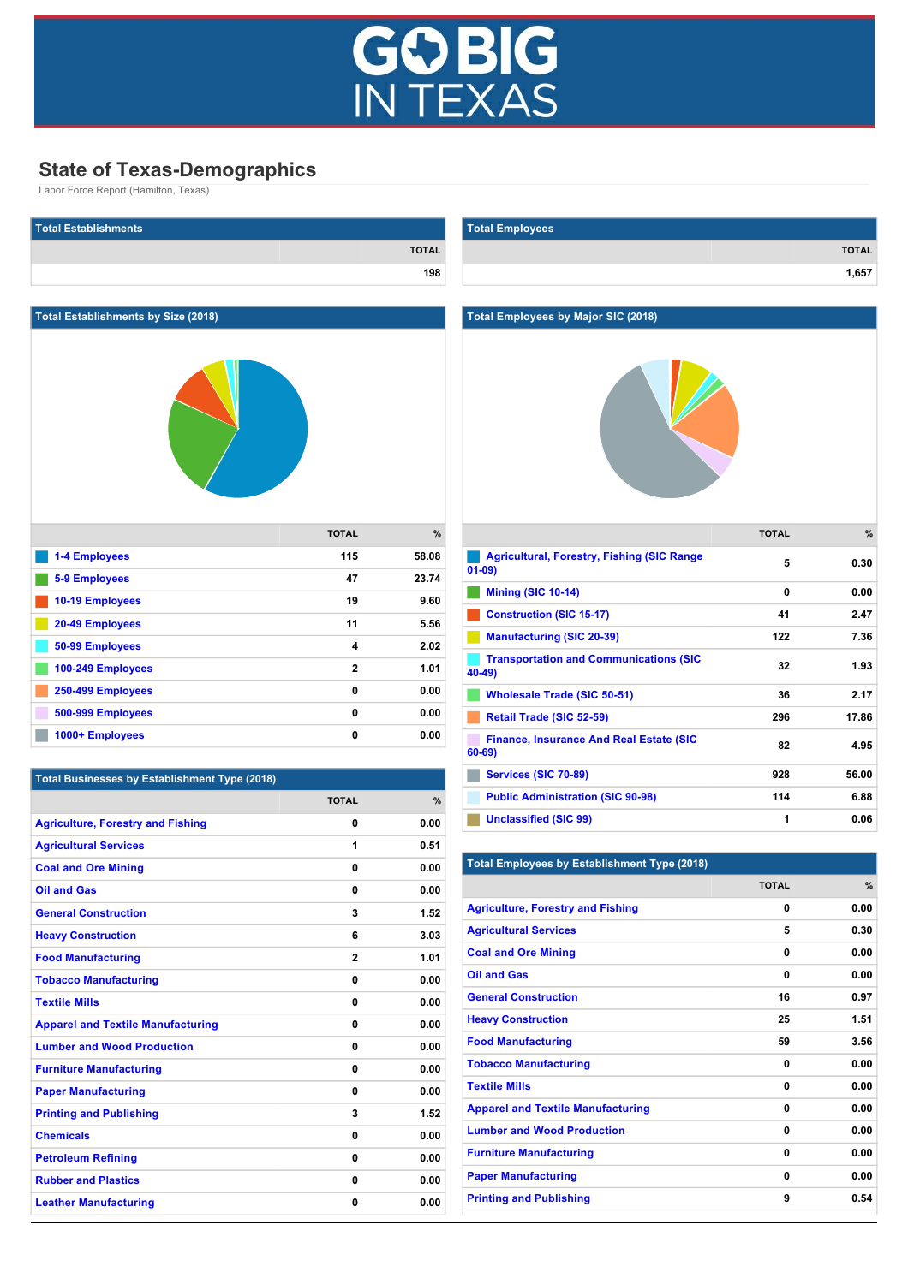

## **State of Texas-Demographics**

Labor Force Report (Hamilton, Texas)

| <b>Total Establishments</b>                          |              |              | <b>Total Employees</b>                                              |              |              |
|------------------------------------------------------|--------------|--------------|---------------------------------------------------------------------|--------------|--------------|
|                                                      |              | <b>TOTAL</b> |                                                                     |              | <b>TOTAL</b> |
|                                                      |              | 198          |                                                                     |              | 1,657        |
|                                                      |              |              |                                                                     |              |              |
| <b>Total Establishments by Size (2018)</b>           |              |              | <b>Total Employees by Major SIC (2018)</b>                          |              |              |
|                                                      |              |              |                                                                     |              |              |
|                                                      | <b>TOTAL</b> | $\%$         |                                                                     | <b>TOTAL</b> | $\%$         |
| <b>1-4 Employees</b>                                 | 115          | 58.08        | Agricultural, Forestry, Fishing (SIC Range<br>$01-09$               | 5            | 0.30         |
| 5-9 Employees                                        | 47           | 23.74        | <b>Mining (SIC 10-14)</b>                                           | 0            | 0.00         |
| 10-19 Employees                                      | 19           | 9.60         | <b>Construction (SIC 15-17)</b>                                     | 41           | 2.47         |
| 20-49 Employees                                      | 11           | 5.56         | <b>Manufacturing (SIC 20-39)</b>                                    | 122          | 7.36         |
| 50-99 Employees                                      | 4            | 2.02         | <b>Transportation and Communications (SIC</b>                       | 32           | 1.93         |
| 100-249 Employees                                    | $\mathbf{2}$ | 1.01         | $40-49$                                                             |              |              |
| 250-499 Employees                                    | 0<br>0       | 0.00<br>0.00 | <b>Wholesale Trade (SIC 50-51)</b>                                  | 36           | 2.17         |
| 500-999 Employees<br>1000+ Employees                 | 0            | 0.00         | Retail Trade (SIC 52-59)                                            | 296          | 17.86        |
|                                                      |              |              | <b>Finance, Insurance And Real Estate (SIC</b><br>$60 - 69$         | 82           | 4.95         |
| <b>Total Businesses by Establishment Type (2018)</b> |              |              | Services (SIC 70-89)                                                | 928          | 56.00        |
|                                                      | <b>TOTAL</b> | %            | <b>Public Administration (SIC 90-98)</b>                            | 114          | 6.88         |
| <b>Agriculture, Forestry and Fishing</b>             | 0            | 0.00         | <b>Unclassified (SIC 99)</b>                                        | 1            | 0.06         |
| <b>Agricultural Services</b>                         | 1            | 0.51         |                                                                     |              |              |
| <b>Coal and Ore Mining</b>                           | 0            | 0.00         | <b>Total Employees by Establishment Type (2018)</b>                 |              |              |
| <b>Oil and Gas</b>                                   | 0            | 0.00         |                                                                     | <b>TOTAL</b> | $\%$         |
| <b>General Construction</b>                          | 3            | 1.52         | <b>Agriculture, Forestry and Fishing</b>                            | 0            | 0.00         |
| <b>Heavy Construction</b>                            | 6            | 3.03         | <b>Agricultural Services</b>                                        | 5            | 0.30         |
| <b>Food Manufacturing</b>                            | $\bf{2}$     | 1.01         | <b>Coal and Ore Mining</b>                                          | 0            | 0.00         |
| <b>Tobacco Manufacturing</b>                         | 0            | 0.00         | <b>Oil and Gas</b>                                                  | 0            | 0.00         |
| <b>Textile Mills</b>                                 | 0            | 0.00         | <b>General Construction</b>                                         | 16           | 0.97         |
| <b>Apparel and Textile Manufacturing</b>             | 0            | 0.00         | <b>Heavy Construction</b>                                           | 25           | 1.51         |
| <b>Lumber and Wood Production</b>                    | 0            | 0.00         | <b>Food Manufacturing</b>                                           | 59           | 3.56         |
| <b>Furniture Manufacturing</b>                       | 0            | 0.00         | <b>Tobacco Manufacturing</b>                                        | 0            | 0.00         |
| <b>Paper Manufacturing</b>                           | 0            | 0.00         | <b>Textile Mills</b>                                                | 0            | 0.00         |
| <b>Printing and Publishing</b>                       | 3            | 1.52         | <b>Apparel and Textile Manufacturing</b>                            | 0<br>0       | 0.00<br>0.00 |
| <b>Chemicals</b>                                     | 0            | 0.00         | <b>Lumber and Wood Production</b><br><b>Furniture Manufacturing</b> | 0            | 0.00         |
| <b>Petroleum Refining</b>                            | 0            | 0.00         | <b>Paper Manufacturing</b>                                          | 0            | 0.00         |
| <b>Rubber and Plastics</b>                           | 0            | 0.00         | <b>Printing and Publishing</b>                                      | 9            | 0.54         |
| <b>Leather Manufacturing</b>                         | 0            | 0.00         |                                                                     |              |              |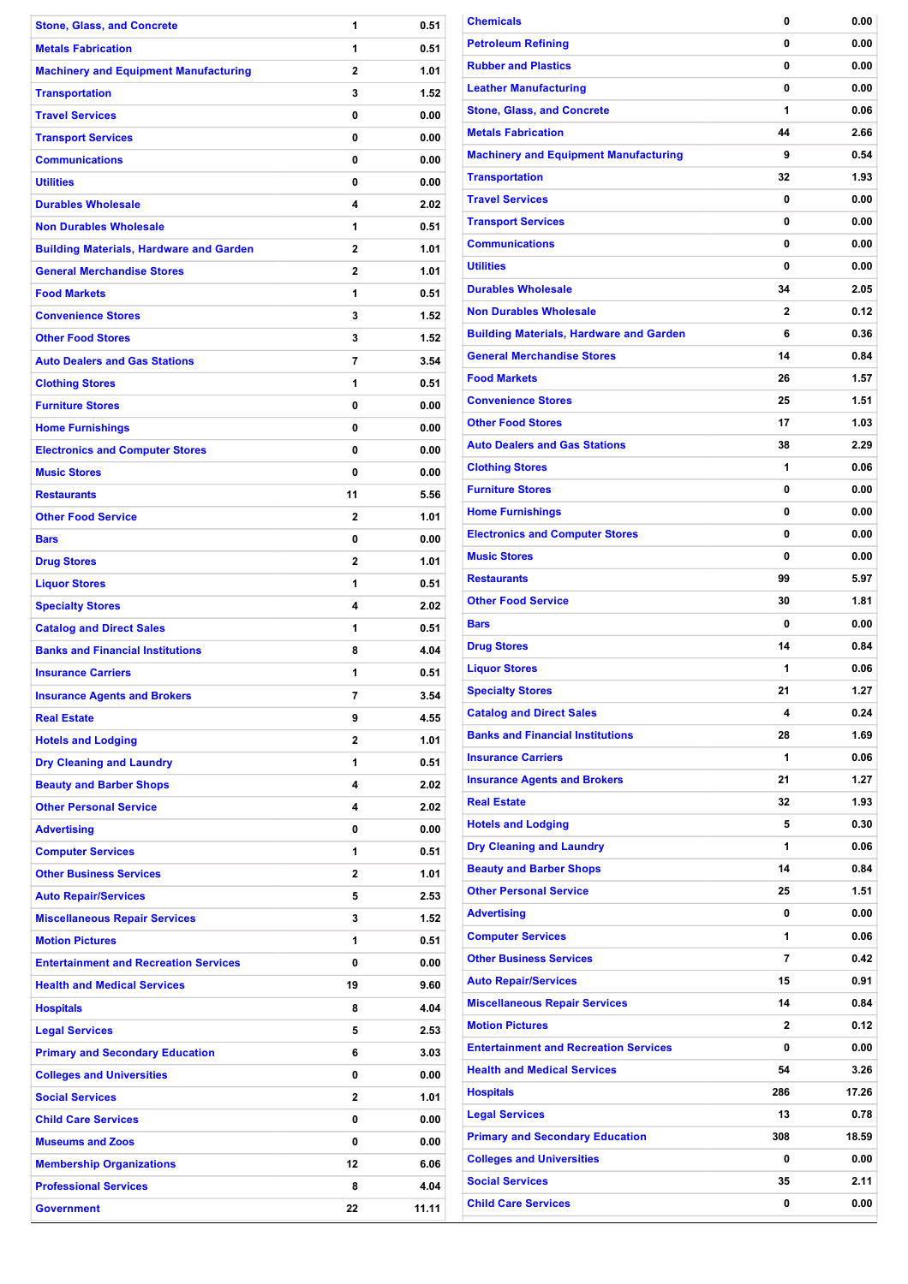| <b>Stone, Glass, and Concrete</b>              | 1              | 0.51  |
|------------------------------------------------|----------------|-------|
| <b>Metals Fabrication</b>                      | 1              | 0.51  |
| <b>Machinery and Equipment Manufacturing</b>   | $\overline{2}$ | 1.01  |
| <b>Transportation</b>                          | 3              | 1.52  |
| <b>Travel Services</b>                         | 0              | 0.00  |
| <b>Transport Services</b>                      | 0              | 0.00  |
| <b>Communications</b>                          | 0              | 0.00  |
| <b>Utilities</b>                               | 0              | 0.00  |
| <b>Durables Wholesale</b>                      | 4              | 2.02  |
| <b>Non Durables Wholesale</b>                  | 1              | 0.51  |
| <b>Building Materials, Hardware and Garden</b> | 2              | 1.01  |
| <b>General Merchandise Stores</b>              | $\overline{2}$ | 1.01  |
| <b>Food Markets</b>                            | 1              | 0.51  |
| <b>Convenience Stores</b>                      | 3              | 1.52  |
| <b>Other Food Stores</b>                       | 3              | 1.52  |
| <b>Auto Dealers and Gas Stations</b>           | 7              | 3.54  |
| <b>Clothing Stores</b>                         | 1              | 0.51  |
| <b>Furniture Stores</b>                        | 0              | 0.00  |
| <b>Home Furnishings</b>                        | 0              |       |
|                                                |                | 0.00  |
| <b>Electronics and Computer Stores</b>         | 0              | 0.00  |
| <b>Music Stores</b>                            | 0              | 0.00  |
| <b>Restaurants</b>                             | 11             | 5.56  |
| <b>Other Food Service</b>                      | 2              | 1.01  |
| <b>Bars</b>                                    | 0              | 0.00  |
| <b>Drug Stores</b>                             | $\overline{2}$ | 1.01  |
| <b>Liquor Stores</b>                           | 1              | 0.51  |
| <b>Specialty Stores</b>                        | 4              | 2.02  |
| <b>Catalog and Direct Sales</b>                | 1              | 0.51  |
| <b>Banks and Financial Institutions</b>        | 8              | 4.04  |
| <b>Insurance Carriers</b>                      | 1              | 0.51  |
| <b>Insurance Agents and Brokers</b>            | 7              | 3.54  |
| <b>Real Estate</b>                             | 9              | 4.55  |
| <b>Hotels and Lodging</b>                      | 2              | 1.01  |
| <b>Dry Cleaning and Laundry</b>                | 1              | 0.51  |
| <b>Beauty and Barber Shops</b>                 | 4              | 2.02  |
| <b>Other Personal Service</b>                  | 4              | 2.02  |
| <b>Advertising</b>                             | 0              | 0.00  |
| <b>Computer Services</b>                       | 1              | 0.51  |
| <b>Other Business Services</b>                 | 2              | 1.01  |
| <b>Auto Repair/Services</b>                    | 5              | 2.53  |
| <b>Miscellaneous Repair Services</b>           | 3              | 1.52  |
| <b>Motion Pictures</b>                         | 1              | 0.51  |
| <b>Entertainment and Recreation Services</b>   | 0              | 0.00  |
| <b>Health and Medical Services</b>             | 19             | 9.60  |
| <b>Hospitals</b>                               | 8              | 4.04  |
| <b>Legal Services</b>                          | 5              | 2.53  |
| <b>Primary and Secondary Education</b>         | 6              | 3.03  |
| <b>Colleges and Universities</b>               | 0              | 0.00  |
| <b>Social Services</b>                         | 2              | 1.01  |
| <b>Child Care Services</b>                     | 0              | 0.00  |
| <b>Museums and Zoos</b>                        | 0              | 0.00  |
| <b>Membership Organizations</b>                | 12             | 6.06  |
| <b>Professional Services</b>                   | 8              | 4.04  |
| <b>Government</b>                              | 22             | 11.11 |
|                                                |                |       |

| <b>Chemicals</b>                               | 0              | 0.00  |
|------------------------------------------------|----------------|-------|
| <b>Petroleum Refining</b>                      | 0              | 0.00  |
| <b>Rubber and Plastics</b>                     | 0              | 0.00  |
| <b>Leather Manufacturing</b>                   | 0              | 0.00  |
| <b>Stone, Glass, and Concrete</b>              | 1              | 0.06  |
| <b>Metals Fabrication</b>                      | 44             | 2.66  |
| <b>Machinery and Equipment Manufacturing</b>   | 9              | 0.54  |
| <b>Transportation</b>                          | 32             | 1.93  |
| <b>Travel Services</b>                         | 0              | 0.00  |
| <b>Transport Services</b>                      | 0              | 0.00  |
| <b>Communications</b>                          | 0              | 0.00  |
| <b>Utilities</b>                               | 0              | 0.00  |
| <b>Durables Wholesale</b>                      | 34             | 2.05  |
| <b>Non Durables Wholesale</b>                  | 2              | 0.12  |
| <b>Building Materials, Hardware and Garden</b> | 6              | 0.36  |
| <b>General Merchandise Stores</b>              | 14             | 0.84  |
| <b>Food Markets</b>                            | 26             | 1.57  |
| <b>Convenience Stores</b>                      | 25             | 1.51  |
| <b>Other Food Stores</b>                       | 17             | 1.03  |
| <b>Auto Dealers and Gas Stations</b>           | 38             | 2.29  |
| <b>Clothing Stores</b>                         | 1              | 0.06  |
| <b>Furniture Stores</b>                        | 0              | 0.00  |
|                                                | 0              | 0.00  |
| <b>Home Furnishings</b>                        | 0              |       |
| <b>Electronics and Computer Stores</b>         |                | 0.00  |
| <b>Music Stores</b>                            | 0              | 0.00  |
| <b>Restaurants</b>                             | 99             | 5.97  |
| <b>Other Food Service</b>                      | 30             | 1.81  |
| <b>Bars</b>                                    | 0              | 0.00  |
| <b>Drug Stores</b>                             | 14             | 0.84  |
| <b>Liquor Stores</b>                           | 1              | 0.06  |
| <b>Specialty Stores</b>                        | 21             | 1.27  |
| <b>Catalog and Direct Sales</b>                | 4              | 0.24  |
| <b>Banks and Financial Institutions</b>        | 28             | 1.69  |
| <b>Insurance Carriers</b>                      | 1              | 0.06  |
| <b>Insurance Agents and Brokers</b>            | 21             | 1.27  |
| <b>Real Estate</b>                             | 32             | 1.93  |
| <b>Hotels and Lodging</b>                      | 5              | 0.30  |
| <b>Dry Cleaning and Laundry</b>                | 1              | 0.06  |
| <b>Beauty and Barber Shops</b>                 | 14             | 0.84  |
| <b>Other Personal Service</b>                  | 25             | 1.51  |
| <b>Advertising</b>                             | 0              | 0.00  |
| <b>Computer Services</b>                       | 1              | 0.06  |
| <b>Other Business Services</b>                 | $\overline{7}$ | 0.42  |
| <b>Auto Repair/Services</b>                    | 15             | 0.91  |
| <b>Miscellaneous Repair Services</b>           | 14             | 0.84  |
| <b>Motion Pictures</b>                         | $\mathbf{2}$   | 0.12  |
| <b>Entertainment and Recreation Services</b>   | 0              | 0.00  |
| <b>Health and Medical Services</b>             | 54             | 3.26  |
| <b>Hospitals</b>                               | 286            | 17.26 |
| <b>Legal Services</b>                          | 13             | 0.78  |
| <b>Primary and Secondary Education</b>         | 308            | 18.59 |
| <b>Colleges and Universities</b>               | 0              | 0.00  |
| <b>Social Services</b>                         | 35             | 2.11  |
| <b>Child Care Services</b>                     | 0              | 0.00  |
|                                                |                |       |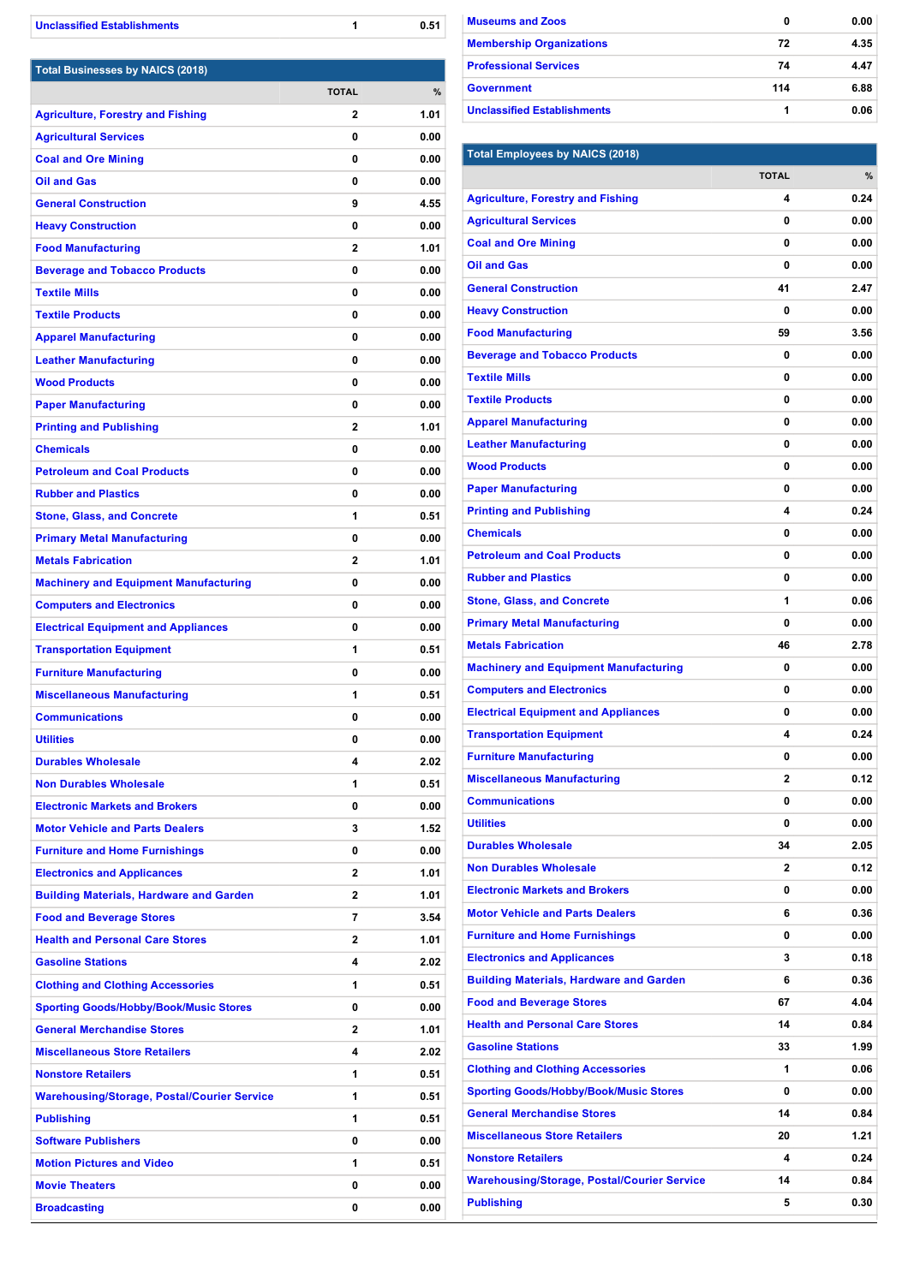| <b>Unclassified Establishments</b> |  | 0.51 |
|------------------------------------|--|------|
|------------------------------------|--|------|

| <b>Total Businesses by NAICS (2018)</b>            |                         |      |
|----------------------------------------------------|-------------------------|------|
|                                                    | <b>TOTAL</b>            | %    |
| <b>Agriculture, Forestry and Fishing</b>           | 2                       | 1.01 |
| <b>Agricultural Services</b>                       | 0                       | 0.00 |
| <b>Coal and Ore Mining</b>                         | 0                       | 0.00 |
| <b>Oil and Gas</b>                                 | 0                       | 0.00 |
| <b>General Construction</b>                        | 9                       | 4.55 |
| <b>Heavy Construction</b>                          | 0                       | 0.00 |
| <b>Food Manufacturing</b>                          | $\overline{\mathbf{c}}$ | 1.01 |
| <b>Beverage and Tobacco Products</b>               | 0                       | 0.00 |
| <b>Textile Mills</b>                               | 0                       | 0.00 |
| <b>Textile Products</b>                            | 0                       | 0.00 |
| <b>Apparel Manufacturing</b>                       | 0                       | 0.00 |
| <b>Leather Manufacturing</b>                       | 0                       | 0.00 |
| <b>Wood Products</b>                               | 0                       | 0.00 |
| <b>Paper Manufacturing</b>                         | 0                       | 0.00 |
| <b>Printing and Publishing</b>                     | $\overline{2}$          | 1.01 |
| <b>Chemicals</b>                                   | 0                       | 0.00 |
| <b>Petroleum and Coal Products</b>                 | 0                       | 0.00 |
| <b>Rubber and Plastics</b>                         | 0                       | 0.00 |
| <b>Stone, Glass, and Concrete</b>                  | 1                       | 0.51 |
| <b>Primary Metal Manufacturing</b>                 | 0                       | 0.00 |
| <b>Metals Fabrication</b>                          | 2                       | 1.01 |
| <b>Machinery and Equipment Manufacturing</b>       | 0                       | 0.00 |
| <b>Computers and Electronics</b>                   | 0                       | 0.00 |
| <b>Electrical Equipment and Appliances</b>         | 0                       | 0.00 |
| <b>Transportation Equipment</b>                    | 1                       | 0.51 |
| <b>Furniture Manufacturing</b>                     | 0                       | 0.00 |
| <b>Miscellaneous Manufacturing</b>                 | 1                       | 0.51 |
| <b>Communications</b>                              | 0                       | 0.00 |
| <b>Utilities</b>                                   | 0                       | 0.00 |
| <b>Durables Wholesale</b>                          | 4                       | 2.02 |
| <b>Non Durables Wholesale</b>                      | 1                       | 0.51 |
| <b>Electronic Markets and Brokers</b>              | 0                       | 0.00 |
| <b>Motor Vehicle and Parts Dealers</b>             | 3                       | 1.52 |
| <b>Furniture and Home Furnishings</b>              | 0                       | 0.00 |
| <b>Electronics and Applicances</b>                 | $\mathbf{2}$            | 1.01 |
| <b>Building Materials, Hardware and Garden</b>     | 2                       | 1.01 |
| <b>Food and Beverage Stores</b>                    | 7                       | 3.54 |
| <b>Health and Personal Care Stores</b>             | 2                       | 1.01 |
| <b>Gasoline Stations</b>                           | 4                       | 2.02 |
| <b>Clothing and Clothing Accessories</b>           | 1                       | 0.51 |
| <b>Sporting Goods/Hobby/Book/Music Stores</b>      | 0                       | 0.00 |
| <b>General Merchandise Stores</b>                  | 2                       | 1.01 |
| <b>Miscellaneous Store Retailers</b>               | 4                       | 2.02 |
| <b>Nonstore Retailers</b>                          | 1                       | 0.51 |
| <b>Warehousing/Storage, Postal/Courier Service</b> | 1                       | 0.51 |
| <b>Publishing</b>                                  | 1                       | 0.51 |
| <b>Software Publishers</b>                         | 0                       | 0.00 |
| <b>Motion Pictures and Video</b>                   | 1                       | 0.51 |
| <b>Movie Theaters</b>                              | 0                       | 0.00 |
|                                                    |                         |      |
| <b>Broadcasting</b>                                | 0                       | 0.00 |

| <b>Museums and Zoos</b>            | 0   | 0.00 |
|------------------------------------|-----|------|
| <b>Membership Organizations</b>    | 72  | 4.35 |
| <b>Professional Services</b>       | 74  | 4.47 |
| <b>Government</b>                  | 114 | 6.88 |
| <b>Unclassified Establishments</b> |     | 0.06 |

## **Total Employees by NAICS (2018)**

|                                                    | <b>TOTAL</b>   | %    |
|----------------------------------------------------|----------------|------|
| <b>Agriculture, Forestry and Fishing</b>           | 4              | 0.24 |
| <b>Agricultural Services</b>                       | 0              | 0.00 |
| <b>Coal and Ore Mining</b>                         | 0              | 0.00 |
| <b>Oil and Gas</b>                                 | 0              | 0.00 |
| <b>General Construction</b>                        | 41             | 2.47 |
| <b>Heavy Construction</b>                          | 0              | 0.00 |
| <b>Food Manufacturing</b>                          | 59             | 3.56 |
| <b>Beverage and Tobacco Products</b>               | 0              | 0.00 |
| <b>Textile Mills</b>                               | 0              | 0.00 |
| <b>Textile Products</b>                            | 0              | 0.00 |
| <b>Apparel Manufacturing</b>                       | 0              | 0.00 |
| <b>Leather Manufacturing</b>                       | 0              | 0.00 |
| <b>Wood Products</b>                               | 0              | 0.00 |
| <b>Paper Manufacturing</b>                         | 0              | 0.00 |
| <b>Printing and Publishing</b>                     | 4              | 0.24 |
| <b>Chemicals</b>                                   | 0              | 0.00 |
| <b>Petroleum and Coal Products</b>                 | 0              | 0.00 |
| <b>Rubber and Plastics</b>                         | 0              | 0.00 |
| <b>Stone, Glass, and Concrete</b>                  | 1              | 0.06 |
| <b>Primary Metal Manufacturing</b>                 | 0              | 0.00 |
| <b>Metals Fabrication</b>                          | 46             | 2.78 |
| <b>Machinery and Equipment Manufacturing</b>       | 0              | 0.00 |
| <b>Computers and Electronics</b>                   | 0              | 0.00 |
| <b>Electrical Equipment and Appliances</b>         | 0              | 0.00 |
| <b>Transportation Equipment</b>                    | 4              | 0.24 |
| <b>Furniture Manufacturing</b>                     | 0              | 0.00 |
| <b>Miscellaneous Manufacturing</b>                 | $\overline{2}$ | 0.12 |
| <b>Communications</b>                              | 0              | 0.00 |
| <b>Utilities</b>                                   | 0              | 0.00 |
| <b>Durables Wholesale</b>                          | 34             | 2.05 |
| <b>Non Durables Wholesale</b>                      | 2              | 0.12 |
| <b>Electronic Markets and Brokers</b>              | 0              | 0.00 |
| <b>Motor Vehicle and Parts Dealers</b>             | 6              | 0.36 |
| <b>Furniture and Home Furnishings</b>              | 0              | 0.00 |
| <b>Electronics and Applicances</b>                 | 3              | 0.18 |
| <b>Building Materials, Hardware and Garden</b>     | 6              | 0.36 |
| <b>Food and Beverage Stores</b>                    | 67             | 4.04 |
| <b>Health and Personal Care Stores</b>             | 14             | 0.84 |
| <b>Gasoline Stations</b>                           | 33             | 1.99 |
| <b>Clothing and Clothing Accessories</b>           | 1              | 0.06 |
| <b>Sporting Goods/Hobby/Book/Music Stores</b>      | 0              | 0.00 |
| <b>General Merchandise Stores</b>                  | 14             | 0.84 |
| <b>Miscellaneous Store Retailers</b>               | 20             | 1.21 |
| <b>Nonstore Retailers</b>                          | 4              | 0.24 |
| <b>Warehousing/Storage, Postal/Courier Service</b> | 14             | 0.84 |
| <b>Publishing</b>                                  | 5              | 0.30 |
|                                                    |                |      |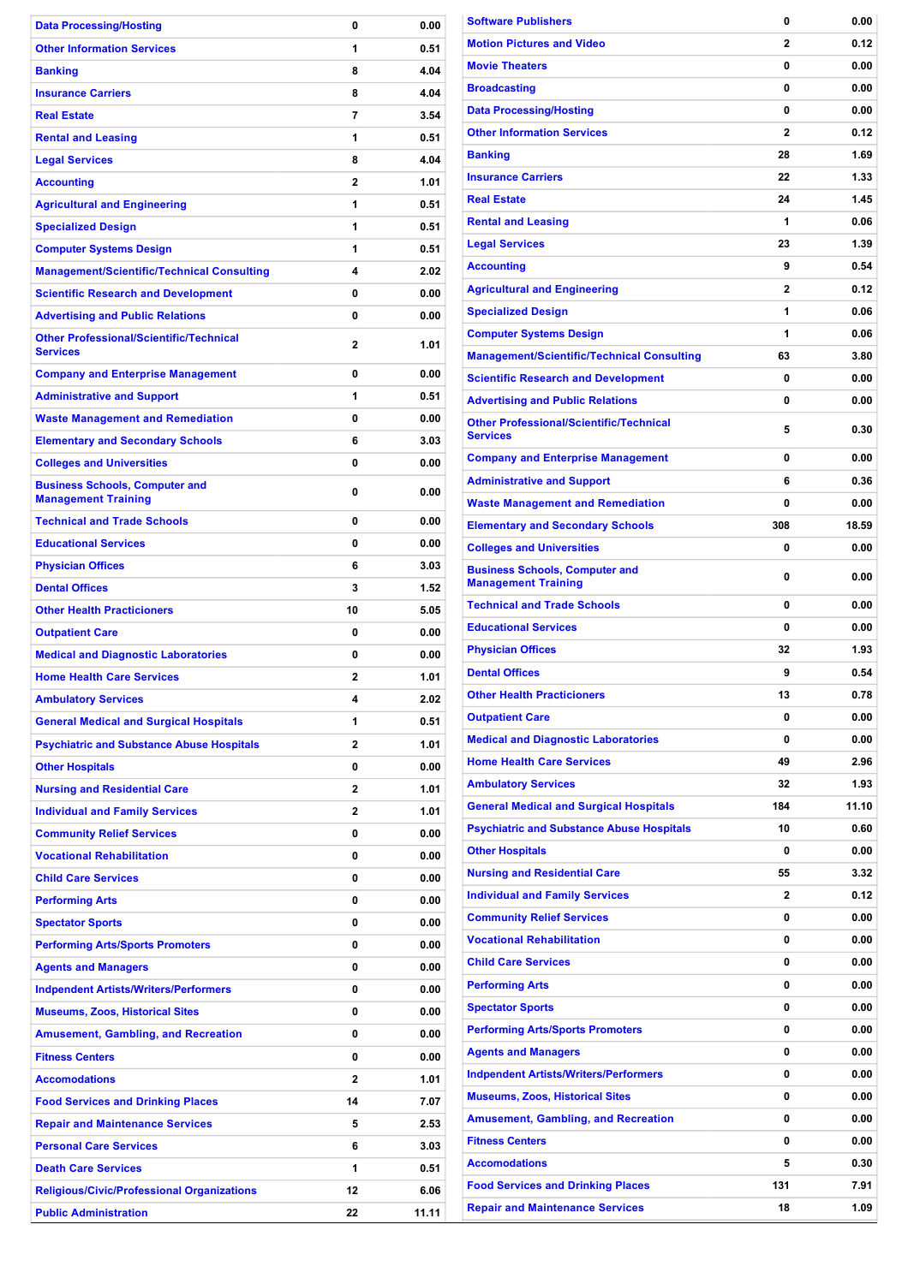| <b>Data Processing/Hosting</b>                                                         | 0                       | 0.00         |
|----------------------------------------------------------------------------------------|-------------------------|--------------|
| <b>Other Information Services</b>                                                      | 1                       | 0.51         |
| <b>Banking</b>                                                                         | 8                       | 4.04         |
| <b>Insurance Carriers</b>                                                              | 8                       | 4.04         |
| <b>Real Estate</b>                                                                     | 7                       | 3.54         |
| <b>Rental and Leasing</b>                                                              | 1                       | 0.51         |
| <b>Legal Services</b>                                                                  | 8                       | 4.04         |
| <b>Accounting</b>                                                                      | 2                       | 1.01         |
| <b>Agricultural and Engineering</b>                                                    | 1                       | 0.51         |
| <b>Specialized Design</b>                                                              | 1                       | 0.51         |
| <b>Computer Systems Design</b>                                                         | 1                       | 0.51         |
| <b>Management/Scientific/Technical Consulting</b>                                      | 4                       | 2.02         |
| <b>Scientific Research and Development</b>                                             | 0                       | 0.00         |
| <b>Advertising and Public Relations</b>                                                | 0                       | 0.00         |
| <b>Other Professional/Scientific/Technical</b><br><b>Services</b>                      | $\mathbf{2}$            | 1.01         |
| <b>Company and Enterprise Management</b>                                               | 0                       | 0.00         |
| <b>Administrative and Support</b>                                                      | 1                       | 0.51         |
| <b>Waste Management and Remediation</b>                                                | 0                       | 0.00         |
| <b>Elementary and Secondary Schools</b>                                                | 6                       | 3.03         |
| <b>Colleges and Universities</b>                                                       | 0                       | 0.00         |
| <b>Business Schools, Computer and</b><br><b>Management Training</b>                    | 0                       | 0.00         |
| <b>Technical and Trade Schools</b>                                                     | 0                       | 0.00         |
| <b>Educational Services</b>                                                            | 0                       | 0.00         |
| <b>Physician Offices</b>                                                               | 6                       | 3.03         |
| <b>Dental Offices</b>                                                                  | 3                       | 1.52         |
| <b>Other Health Practicioners</b>                                                      | 10                      | 5.05         |
| <b>Outpatient Care</b>                                                                 | 0                       | 0.00         |
| <b>Medical and Diagnostic Laboratories</b>                                             | 0                       | 0.00         |
| <b>Home Health Care Services</b>                                                       | 2                       | 1.01         |
| <b>Ambulatory Services</b>                                                             | 4                       | 2.02         |
| <b>General Medical and Surgical Hospitals</b>                                          | 1                       | 0.51         |
| <b>Psychiatric and Substance Abuse Hospitals</b>                                       | $\overline{\mathbf{c}}$ | 1.01         |
| <b>Other Hospitals</b>                                                                 | 0                       | 0.00         |
| <b>Nursing and Residential Care</b>                                                    | 2                       | 1.01         |
| <b>Individual and Family Services</b>                                                  | $\overline{\mathbf{c}}$ | 1.01         |
| <b>Community Relief Services</b>                                                       | 0                       | 0.00         |
| <b>Vocational Rehabilitation</b>                                                       | 0                       | 0.00         |
| <b>Child Care Services</b>                                                             | 0                       | 0.00         |
| <b>Performing Arts</b>                                                                 | 0                       | 0.00         |
| <b>Spectator Sports</b>                                                                | 0                       | 0.00         |
| <b>Performing Arts/Sports Promoters</b>                                                | 0                       | 0.00         |
| <b>Agents and Managers</b>                                                             | 0<br>0                  | 0.00         |
| <b>Indpendent Artists/Writers/Performers</b><br><b>Museums, Zoos, Historical Sites</b> | 0                       | 0.00<br>0.00 |
| <b>Amusement, Gambling, and Recreation</b>                                             | 0                       | 0.00         |
| <b>Fitness Centers</b>                                                                 | 0                       | 0.00         |
| <b>Accomodations</b>                                                                   | 2                       | 1.01         |
| <b>Food Services and Drinking Places</b>                                               | 14                      | 7.07         |
| <b>Repair and Maintenance Services</b>                                                 | 5                       | 2.53         |
| <b>Personal Care Services</b>                                                          | 6                       | 3.03         |
| <b>Death Care Services</b>                                                             | 1                       | 0.51         |
| <b>Religious/Civic/Professional Organizations</b>                                      | 12                      | 6.06         |
| <b>Public Administration</b>                                                           | 22                      | 11.11        |

| <b>Software Publishers</b>                                          | 0            | 0.00  |
|---------------------------------------------------------------------|--------------|-------|
| <b>Motion Pictures and Video</b>                                    | 2            | 0.12  |
| <b>Movie Theaters</b>                                               | 0            | 0.00  |
| <b>Broadcasting</b>                                                 | 0            | 0.00  |
| <b>Data Processing/Hosting</b>                                      | 0            | 0.00  |
| <b>Other Information Services</b>                                   | 2            | 0.12  |
| <b>Banking</b>                                                      | 28           | 1.69  |
| <b>Insurance Carriers</b>                                           | 22           | 1.33  |
| <b>Real Estate</b>                                                  | 24           | 1.45  |
| <b>Rental and Leasing</b>                                           | 1            | 0.06  |
| <b>Legal Services</b>                                               | 23           | 1.39  |
| <b>Accounting</b>                                                   | 9            | 0.54  |
| <b>Agricultural and Engineering</b>                                 | $\mathbf{2}$ | 0.12  |
| <b>Specialized Design</b>                                           | 1            | 0.06  |
| <b>Computer Systems Design</b>                                      | 1            | 0.06  |
| <b>Management/Scientific/Technical Consulting</b>                   | 63           | 3.80  |
| <b>Scientific Research and Development</b>                          | 0            | 0.00  |
| <b>Advertising and Public Relations</b>                             | 0            | 0.00  |
| <b>Other Professional/Scientific/Technical</b>                      |              |       |
| <b>Services</b>                                                     | 5            | 0.30  |
| <b>Company and Enterprise Management</b>                            | 0            | 0.00  |
| <b>Administrative and Support</b>                                   | 6            | 0.36  |
| <b>Waste Management and Remediation</b>                             | 0            | 0.00  |
| <b>Elementary and Secondary Schools</b>                             | 308          | 18.59 |
| <b>Colleges and Universities</b>                                    | 0            | 0.00  |
| <b>Business Schools, Computer and</b><br><b>Management Training</b> | 0            | 0.00  |
| <b>Technical and Trade Schools</b>                                  | 0            | 0.00  |
| <b>Educational Services</b>                                         | 0            | 0.00  |
| <b>Physician Offices</b>                                            | 32           | 1.93  |
| <b>Dental Offices</b>                                               | 9            | 0.54  |
| <b>Other Health Practicioners</b>                                   | 13           | 0.78  |
| <b>Outpatient Care</b>                                              | 0            | 0.00  |
| <b>Medical and Diagnostic Laboratories</b>                          | 0            | 0.00  |
| <b>Home Health Care Services</b>                                    | 49           | 2.96  |
| <b>Ambulatory Services</b>                                          | 32           | 1.93  |
| <b>General Medical and Surgical Hospitals</b>                       | 184          | 11.10 |
| <b>Psychiatric and Substance Abuse Hospitals</b>                    | 10           | 0.60  |
| <b>Other Hospitals</b>                                              | 0            | 0.00  |
| <b>Nursing and Residential Care</b>                                 | 55           | 3.32  |
|                                                                     | 2            | 0.12  |
| <b>Individual and Family Services</b>                               |              |       |
| <b>Community Relief Services</b>                                    | 0            | 0.00  |
| <b>Vocational Rehabilitation</b>                                    | 0            | 0.00  |
| <b>Child Care Services</b>                                          | 0            | 0.00  |
| <b>Performing Arts</b>                                              | 0            | 0.00  |
| <b>Spectator Sports</b>                                             | 0            | 0.00  |
| <b>Performing Arts/Sports Promoters</b>                             | 0            | 0.00  |
| <b>Agents and Managers</b>                                          | 0            | 0.00  |
| <b>Indpendent Artists/Writers/Performers</b>                        | 0            | 0.00  |
| <b>Museums, Zoos, Historical Sites</b>                              | 0            | 0.00  |
| <b>Amusement, Gambling, and Recreation</b>                          | 0            | 0.00  |
| <b>Fitness Centers</b>                                              | 0            | 0.00  |
| <b>Accomodations</b>                                                | 5            | 0.30  |
| <b>Food Services and Drinking Places</b>                            | 131          | 7.91  |
| <b>Repair and Maintenance Services</b>                              | 18           | 1.09  |